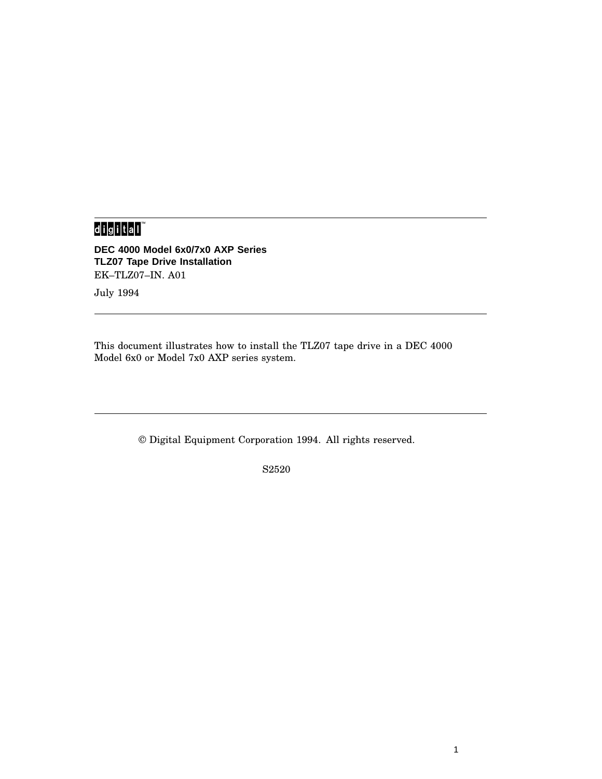# 

**DEC 4000 Model 6x0/7x0 AXP Series TLZ07 Tape Drive Installation** EK–TLZ07–IN. A01

July 1994

This document illustrates how to install the TLZ07 tape drive in a DEC 4000 Model 6x0 or Model 7x0 AXP series system.

© Digital Equipment Corporation 1994. All rights reserved.

S2520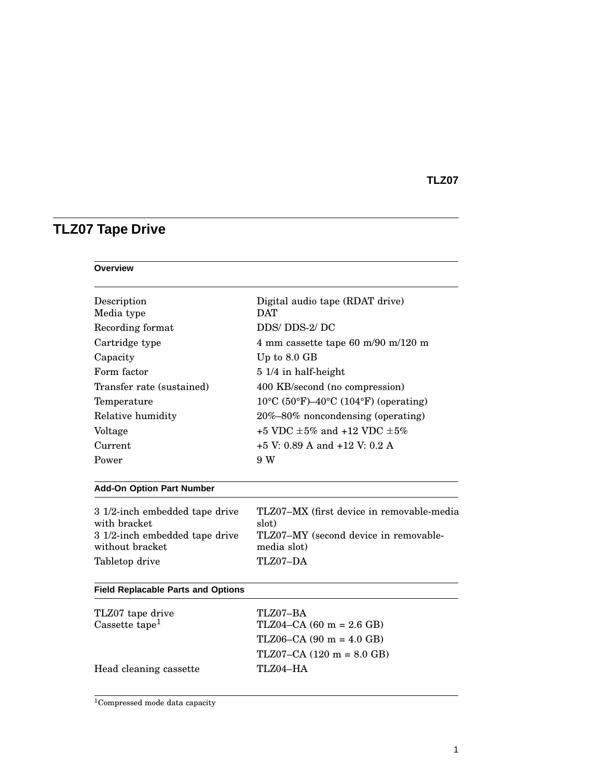# **TLZ07 Tape Drive**

#### **Overview**

| Description<br>Media type                         | Digital audio tape (RDAT drive)<br><b>DAT</b>        |  |
|---------------------------------------------------|------------------------------------------------------|--|
| Recording format                                  | DDS/DDS-2/DC                                         |  |
|                                                   |                                                      |  |
| Cartridge type                                    | 4 mm cassette tape 60 m/90 m/120 m                   |  |
| Capacity                                          | Up to 8.0 GB                                         |  |
| Form factor                                       | 5 1/4 in half-height                                 |  |
| Transfer rate (sustained)                         | 400 KB/second (no compression)                       |  |
| Temperature                                       | $10^{\circ}$ C (50°F)–40°C (104°F) (operating)       |  |
| Relative humidity                                 | 20%-80% noncondensing (operating)                    |  |
| Voltage                                           | +5 VDC +5% and +12 VDC +5%                           |  |
| Current                                           | $+5$ V: 0.89 A and $+12$ V: 0.2 A                    |  |
| Power                                             | 9 W                                                  |  |
| <b>Add-On Option Part Number</b>                  |                                                      |  |
| 3 1/2-inch embedded tape drive<br>with bracket    | TLZ07-MX (first device in removable-media<br>slot)   |  |
| 3 1/2-inch embedded tape drive<br>without bracket | TLZ07-MY (second device in removable-<br>media slot) |  |
| Tabletop drive                                    | TLZ07-DA                                             |  |
| <b>Field Replacable Parts and Options</b>         |                                                      |  |
| TLZ07 tape drive                                  | TLZ07-BA                                             |  |
| Cassette tape <sup>1</sup>                        | $TLZ04-CA (60 m = 2.6 GB)$                           |  |
|                                                   | $TLZ06-CA (90 m = 4.0 GB)$                           |  |
|                                                   | $TLZ07-CA (120 m = 8.0 GB)$                          |  |
| Head cleaning cassette                            | TLZ04-HA                                             |  |
|                                                   |                                                      |  |

<sup>1</sup>Compressed mode data capacity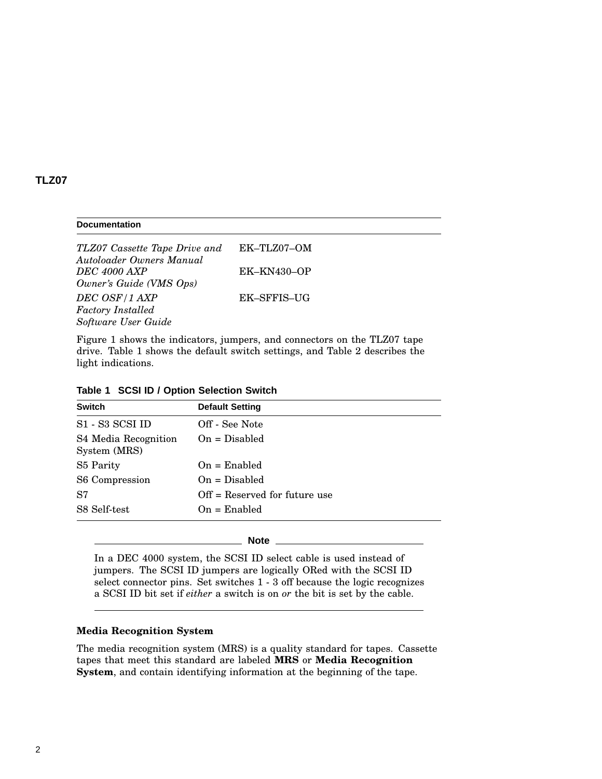#### **Documentation**

*TLZ07 Cassette Tape Drive and Autoloader Owners Manual* EK–TLZ07–OM *DEC 4000 AXP Owner's Guide (VMS Ops)* EK–KN430–OP *DEC OSF/1 AXP Factory Installed Software User Guide* EK–SFFIS–UG

Figure 1 shows the indicators, jumpers, and connectors on the TLZ07 tape drive. Table 1 shows the default switch settings, and Table 2 describes the light indications.

| Table 1 SCSI ID / Option Selection Switch |  |  |  |
|-------------------------------------------|--|--|--|
|-------------------------------------------|--|--|--|

| <b>Switch</b>                        | <b>Default Setting</b>          |
|--------------------------------------|---------------------------------|
| S1 - S3 SCSI ID                      | Off - See Note                  |
| S4 Media Recognition<br>System (MRS) | $On = Disable$                  |
| S <sub>5</sub> Parity                | $On =$ Enabled                  |
| S6 Compression                       | $On = Disabled$                 |
| S7                                   | $Off =$ Reserved for future use |
| S8 Self-test                         | $On =$ Enabled                  |

#### **Note**

In a DEC 4000 system, the SCSI ID select cable is used instead of jumpers. The SCSI ID jumpers are logically ORed with the SCSI ID select connector pins. Set switches 1 - 3 off because the logic recognizes a SCSI ID bit set if *either* a switch is on *or* the bit is set by the cable.

#### **Media Recognition System**

The media recognition system (MRS) is a quality standard for tapes. Cassette tapes that meet this standard are labeled **MRS** or **Media Recognition System**, and contain identifying information at the beginning of the tape.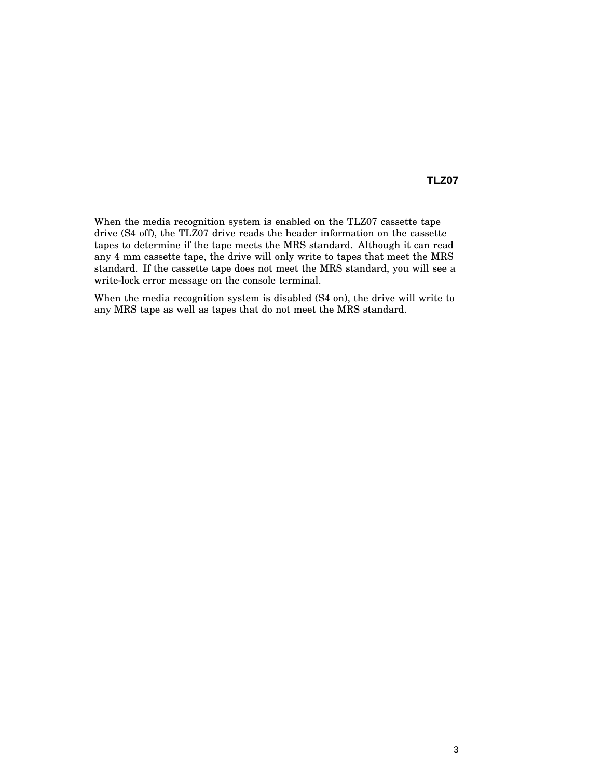When the media recognition system is enabled on the TLZ07 cassette tape drive (S4 off), the TLZ07 drive reads the header information on the cassette tapes to determine if the tape meets the MRS standard. Although it can read any 4 mm cassette tape, the drive will only write to tapes that meet the MRS standard. If the cassette tape does not meet the MRS standard, you will see a write-lock error message on the console terminal.

When the media recognition system is disabled (S4 on), the drive will write to any MRS tape as well as tapes that do not meet the MRS standard.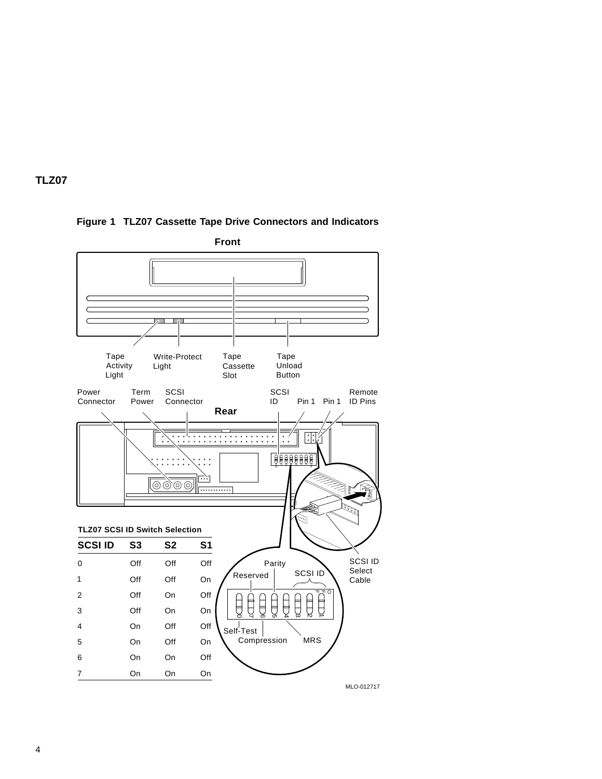

## **Figure 1 TLZ07 Cassette Tape Drive Connectors and Indicators**



**Front**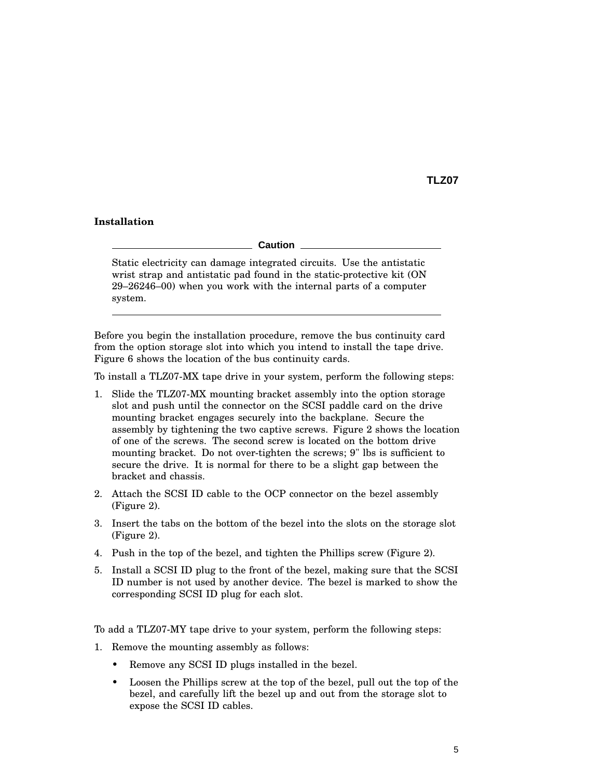#### **Installation**

**Caution**

Static electricity can damage integrated circuits. Use the antistatic wrist strap and antistatic pad found in the static-protective kit (ON 29–26246–00) when you work with the internal parts of a computer system.

Before you begin the installation procedure, remove the bus continuity card from the option storage slot into which you intend to install the tape drive. Figure 6 shows the location of the bus continuity cards.

To install a TLZ07-MX tape drive in your system, perform the following steps:

- 1. Slide the TLZ07-MX mounting bracket assembly into the option storage slot and push until the connector on the SCSI paddle card on the drive mounting bracket engages securely into the backplane. Secure the assembly by tightening the two captive screws. Figure 2 shows the location of one of the screws. The second screw is located on the bottom drive mounting bracket. Do not over-tighten the screws; 9" lbs is sufficient to secure the drive. It is normal for there to be a slight gap between the bracket and chassis.
- 2. Attach the SCSI ID cable to the OCP connector on the bezel assembly (Figure 2).
- 3. Insert the tabs on the bottom of the bezel into the slots on the storage slot (Figure 2).
- 4. Push in the top of the bezel, and tighten the Phillips screw (Figure 2).
- 5. Install a SCSI ID plug to the front of the bezel, making sure that the SCSI ID number is not used by another device. The bezel is marked to show the corresponding SCSI ID plug for each slot.

To add a TLZ07-MY tape drive to your system, perform the following steps:

- 1. Remove the mounting assembly as follows:
	- Remove any SCSI ID plugs installed in the bezel.
	- Loosen the Phillips screw at the top of the bezel, pull out the top of the bezel, and carefully lift the bezel up and out from the storage slot to expose the SCSI ID cables.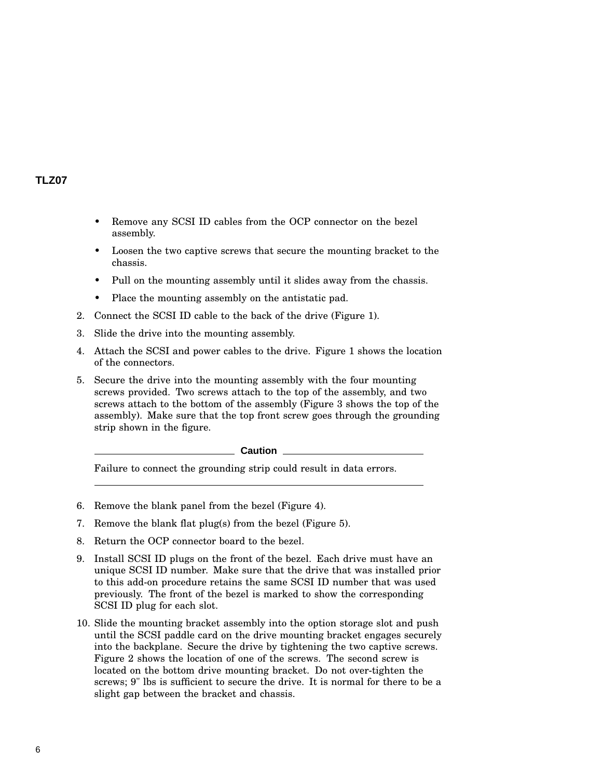- Remove any SCSI ID cables from the OCP connector on the bezel assembly.
- Loosen the two captive screws that secure the mounting bracket to the chassis.
- Pull on the mounting assembly until it slides away from the chassis.
- Place the mounting assembly on the antistatic pad.
- 2. Connect the SCSI ID cable to the back of the drive (Figure 1).
- 3. Slide the drive into the mounting assembly.
- 4. Attach the SCSI and power cables to the drive. Figure 1 shows the location of the connectors.
- 5. Secure the drive into the mounting assembly with the four mounting screws provided. Two screws attach to the top of the assembly, and two screws attach to the bottom of the assembly (Figure 3 shows the top of the assembly). Make sure that the top front screw goes through the grounding strip shown in the figure.

**Caution**

Failure to connect the grounding strip could result in data errors.

- 6. Remove the blank panel from the bezel (Figure 4).
- 7. Remove the blank flat plug(s) from the bezel (Figure 5).
- 8. Return the OCP connector board to the bezel.
- 9. Install SCSI ID plugs on the front of the bezel. Each drive must have an unique SCSI ID number. Make sure that the drive that was installed prior to this add-on procedure retains the same SCSI ID number that was used previously. The front of the bezel is marked to show the corresponding SCSI ID plug for each slot.
- 10. Slide the mounting bracket assembly into the option storage slot and push until the SCSI paddle card on the drive mounting bracket engages securely into the backplane. Secure the drive by tightening the two captive screws. Figure 2 shows the location of one of the screws. The second screw is located on the bottom drive mounting bracket. Do not over-tighten the screws; 9" lbs is sufficient to secure the drive. It is normal for there to be a slight gap between the bracket and chassis.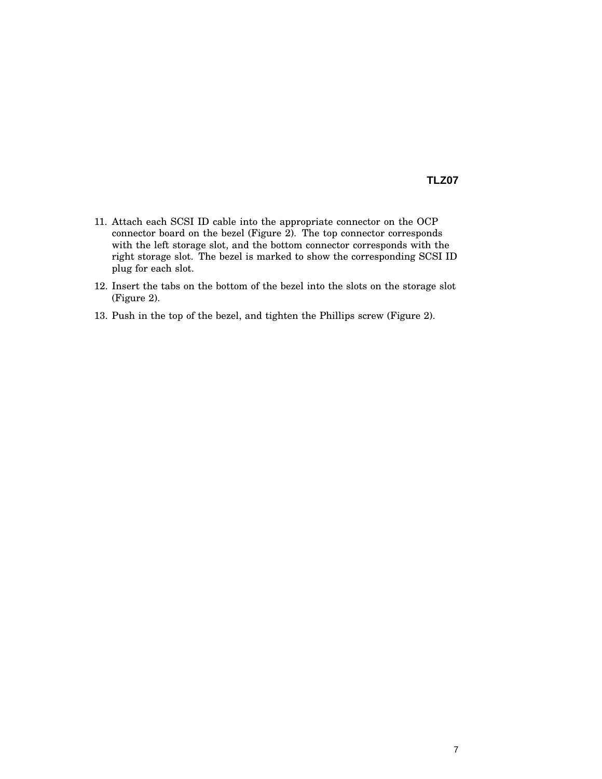- 11. Attach each SCSI ID cable into the appropriate connector on the OCP connector board on the bezel (Figure 2). The top connector corresponds with the left storage slot, and the bottom connector corresponds with the right storage slot. The bezel is marked to show the corresponding SCSI ID plug for each slot.
- 12. Insert the tabs on the bottom of the bezel into the slots on the storage slot (Figure 2).
- 13. Push in the top of the bezel, and tighten the Phillips screw (Figure 2).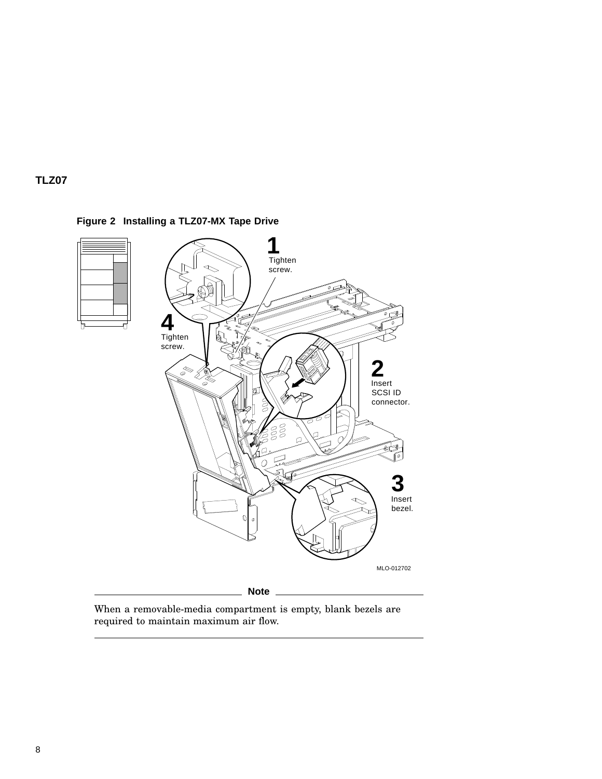



**Figure 2 Installing a TLZ07-MX Tape Drive**

When a removable-media compartment is empty, blank bezels are required to maintain maximum air flow.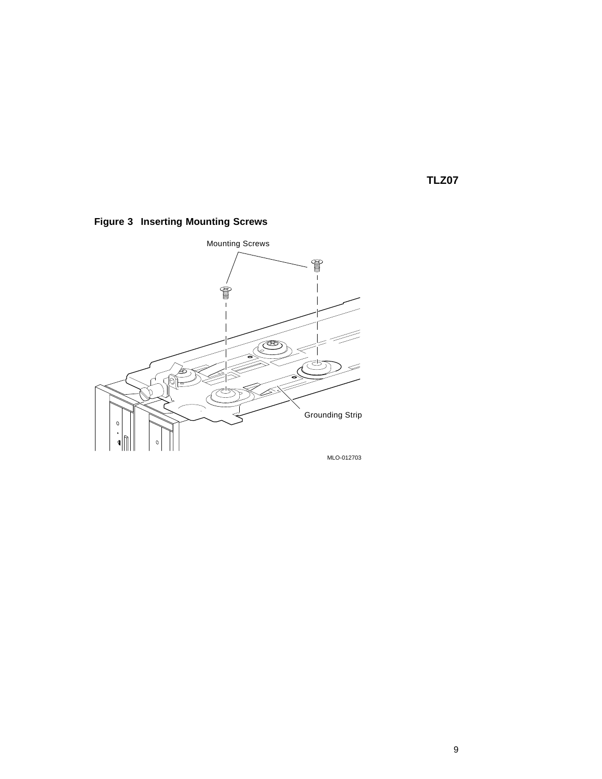

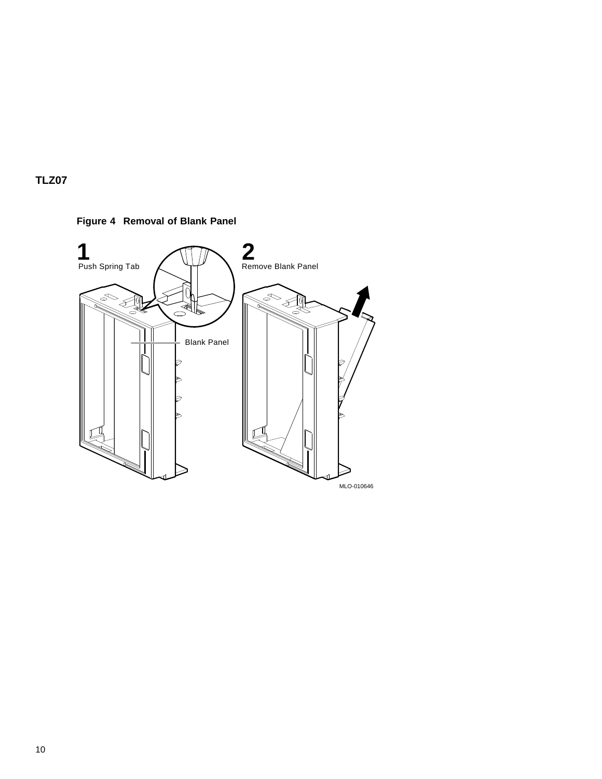

**Figure 4 Removal of Blank Panel**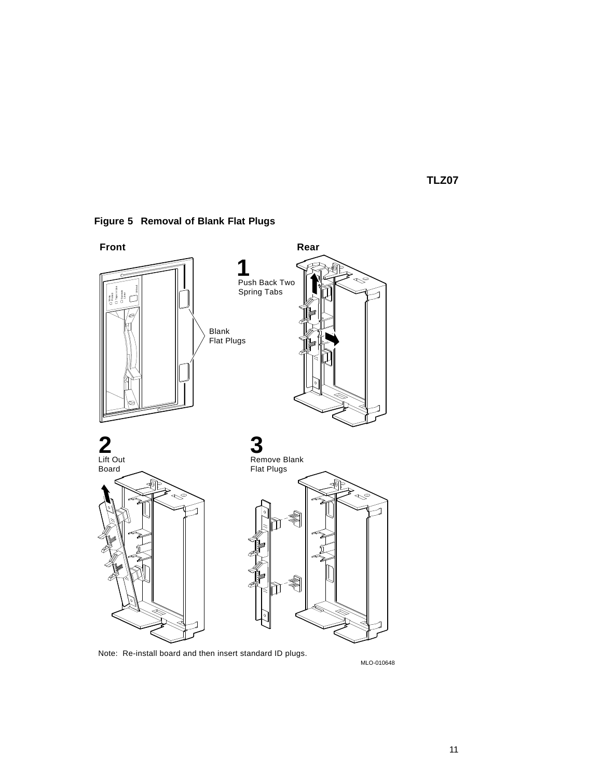

**Figure 5 Removal of Blank Flat Plugs**

Note: Re-install board and then insert standard ID plugs.

MLO-010648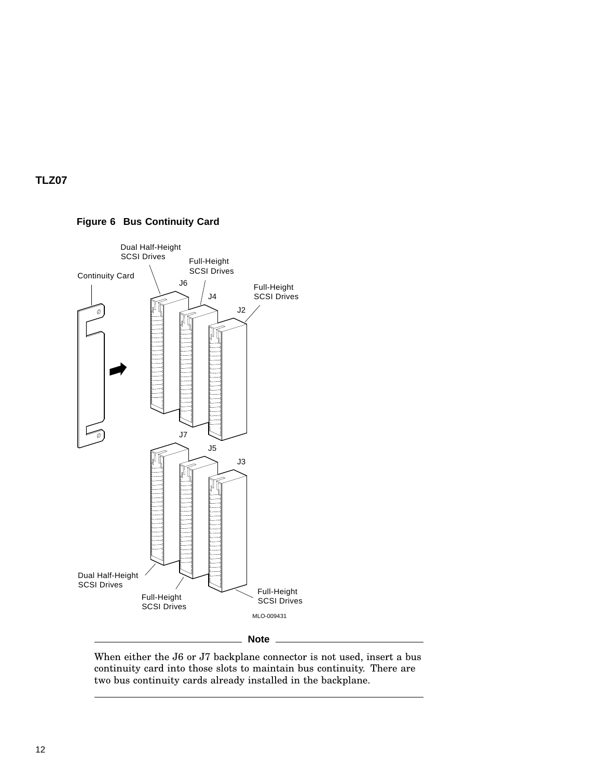

## **Figure 6 Bus Continuity Card**

When either the J6 or J7 backplane connector is not used, insert a bus continuity card into those slots to maintain bus continuity. There are two bus continuity cards already installed in the backplane.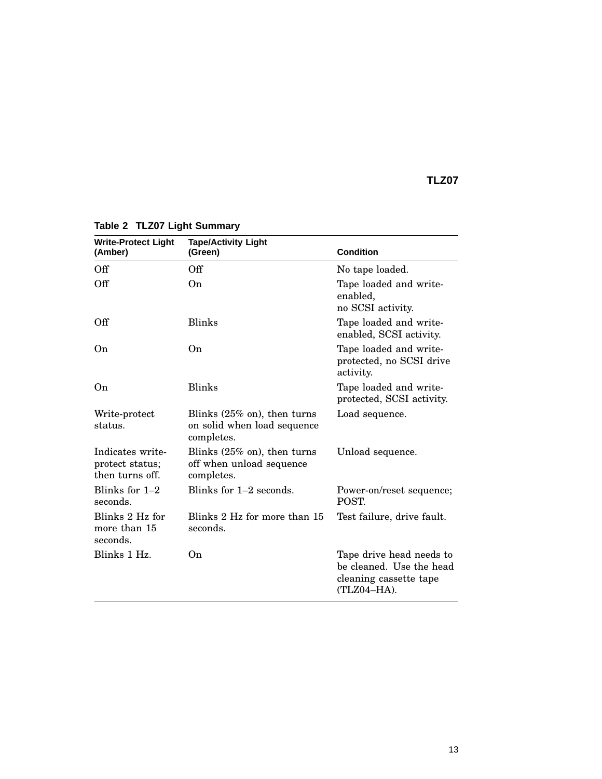| <b>Write-Protect Light</b><br>(Amber)                  | <b>Tape/Activity Light</b><br>(Green)                                                | <b>Condition</b>                                                                              |
|--------------------------------------------------------|--------------------------------------------------------------------------------------|-----------------------------------------------------------------------------------------------|
| Off                                                    | Off                                                                                  | No tape loaded.                                                                               |
| Off                                                    | On.                                                                                  | Tape loaded and write-<br>enabled,<br>no SCSI activity.                                       |
| Off                                                    | <b>Blinks</b>                                                                        | Tape loaded and write-<br>enabled, SCSI activity.                                             |
| On.                                                    | 0 <sub>n</sub>                                                                       | Tape loaded and write-<br>protected, no SCSI drive<br>activity.                               |
| O <sub>n</sub>                                         | <b>Blinks</b>                                                                        | Tape loaded and write-<br>protected, SCSI activity.                                           |
| Write-protect<br>status.                               | Blinks $(25\% \text{ on})$ , then turns<br>on solid when load sequence<br>completes. | Load sequence.                                                                                |
| Indicates write-<br>protect status;<br>then turns off. | Blinks $(25\%$ on), then turns<br>off when unload sequence<br>completes.             | Unload sequence.                                                                              |
| Blinks for $1-2$<br>seconds.                           | Blinks for $1-2$ seconds.                                                            | Power-on/reset sequence;<br>POST.                                                             |
| Blinks 2 Hz for<br>more than 15<br>seconds.            | Blinks 2 Hz for more than 15<br>seconds.                                             | Test failure, drive fault.                                                                    |
| Blinks 1 Hz.                                           | 0n                                                                                   | Tape drive head needs to<br>be cleaned. Use the head<br>cleaning cassette tape<br>(TLZ04-HA). |

**Table 2 TLZ07 Light Summary**